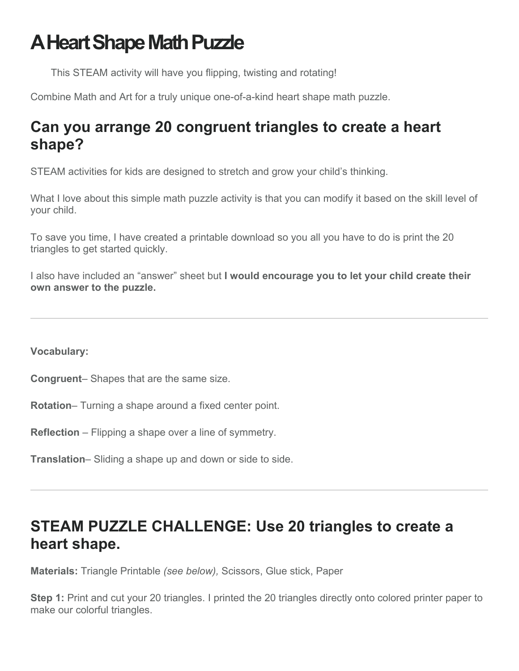## **A Heart Shape Math Puzzle**

This STEAM activity will have you flipping, twisting and rotating!

Combine Math and Art for a truly unique one-of-a-kind heart shape math puzzle.

## **Can you arrange 20 congruent triangles to create a heart shape?**

STEAM activities for kids are designed to stretch and grow your child's thinking.

What I love about this simple math puzzle activity is that you can modify it based on the skill level of your child.

To save you time, I have created a printable download so you all you have to do is print the 20 triangles to get started quickly.

I also have included an "answer" sheet but **I would encourage you to let your child create their own answer to the puzzle.** 

**Vocabulary:**

**Congruent**– Shapes that are the same size.

**Rotation**– Turning a shape around a fixed center point.

**Reflection** – Flipping a shape over a line of symmetry.

**Translation**– Sliding a shape up and down or side to side.

## **STEAM PUZZLE CHALLENGE: Use 20 triangles to create a heart shape.**

**Materials:** Triangle Printable *(see below),* Scissors, Glue stick, Paper

**Step 1:** Print and cut your 20 triangles. I printed the 20 triangles directly onto colored printer paper to make our colorful triangles.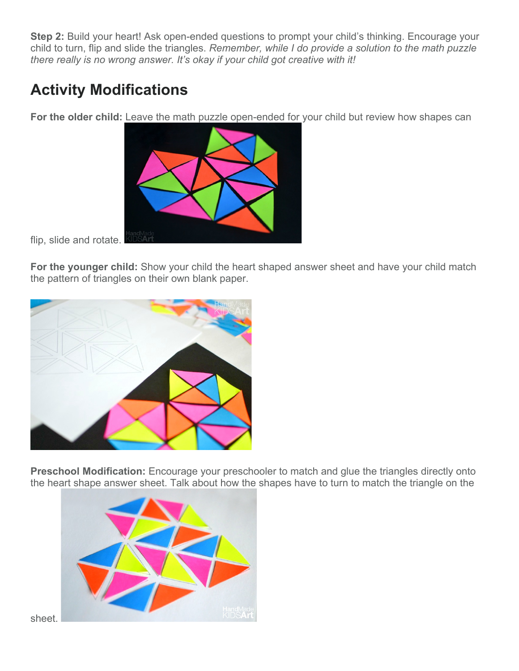**Step 2:** Build your heart! Ask open-ended questions to prompt your child's thinking. Encourage your child to turn, flip and slide the triangles. *Remember, while I do provide a solution to the math puzzle there really is no wrong answer. It's okay if your child got creative with it!*

## **Activity Modifications**

**For the older child:** Leave the math puzzle open-ended for your child but review how shapes can



flip, slide and rotate.

**For the younger child:** Show your child the heart shaped answer sheet and have your child match the pattern of triangles on their own blank paper.



**Preschool Modification:** Encourage your preschooler to match and glue the triangles directly onto the heart shape answer sheet. Talk about how the shapes have to turn to match the triangle on the



sheet.